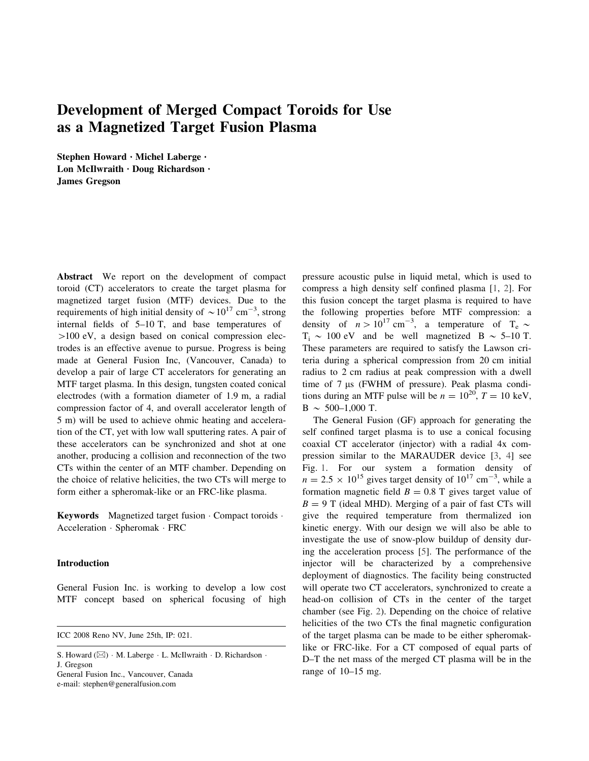# Development of Merged Compact Toroids for Use as a Magnetized Target Fusion Plasma

Stephen Howard · Michel Laberge · Lon McIlwraith · Doug Richardson · James Gregson

Abstract We report on the development of compact toroid (CT) accelerators to create the target plasma for magnetized target fusion (MTF) devices. Due to the requirements of high initial density of  $\sim 10^{17}$  cm<sup>-3</sup>, strong internal fields of 5–10 T, and base temperatures of  $>100$  eV, a design based on conical compression electrodes is an effective avenue to pursue. Progress is being made at General Fusion Inc, (Vancouver, Canada) to develop a pair of large CT accelerators for generating an MTF target plasma. In this design, tungsten coated conical electrodes (with a formation diameter of 1.9 m, a radial compression factor of 4, and overall accelerator length of 5 m) will be used to achieve ohmic heating and acceleration of the CT, yet with low wall sputtering rates. A pair of these accelerators can be synchronized and shot at one another, producing a collision and reconnection of the two CTs within the center of an MTF chamber. Depending on the choice of relative helicities, the two CTs will merge to form either a spheromak-like or an FRC-like plasma.

**Keywords** Magnetized target fusion  $\cdot$  Compact toroids  $\cdot$ Acceleration · Spheromak · FRC

## Introduction

General Fusion Inc. is working to develop a low cost MTF concept based on spherical focusing of high

ICC 2008 Reno NV, June 25th, IP: 021.

e-mail: stephen@generalfusion.com

pressure acoustic pulse in liquid metal, which is used to compress a high density self confined plasma [1, 2]. For this fusion concept the target plasma is required to have the following properties before MTF compression: a density of  $n > 10^{17}$  cm<sup>-3</sup>, a temperature of T<sub>e</sub> ~  $T_i \sim 100 \text{ eV}$  and be well magnetized B  $\sim 5{\text -}10 \text{ T}$ . These parameters are required to satisfy the Lawson criteria during a spherical compression from 20 cm initial radius to 2 cm radius at peak compression with a dwell time of  $7 \mu s$  (FWHM of pressure). Peak plasma conditions during an MTF pulse will be  $n = 10^{20}$ ,  $T = 10$  keV,  $B \sim 500-1,000$  T.

The General Fusion (GF) approach for generating the self confined target plasma is to use a conical focusing coaxial CT accelerator (injector) with a radial 4x compression similar to the MARAUDER device [3, 4] see Fig. 1. For our system a formation density of  $n = 2.5 \times 10^{15}$  gives target density of  $10^{17}$  cm<sup>-3</sup>, while a formation magnetic field  $B = 0.8$  T gives target value of  $B = 9$  T (ideal MHD). Merging of a pair of fast CTs will give the required temperature from thermalized ion kinetic energy. With our design we will also be able to investigate the use of snow-plow buildup of density during the acceleration process [5]. The performance of the injector will be characterized by a comprehensive deployment of diagnostics. The facility being constructed will operate two CT accelerators, synchronized to create a head-on collision of CTs in the center of the target chamber (see Fig. 2). Depending on the choice of relative helicities of the two CTs the final magnetic configuration of the target plasma can be made to be either spheromaklike or FRC-like. For a CT composed of equal parts of D–T the net mass of the merged CT plasma will be in the range of 10–15 mg.

S. Howard ( $\boxtimes$ ) · M. Laberge · L. McIlwraith · D. Richardson · J. Gregson General Fusion Inc., Vancouver, Canada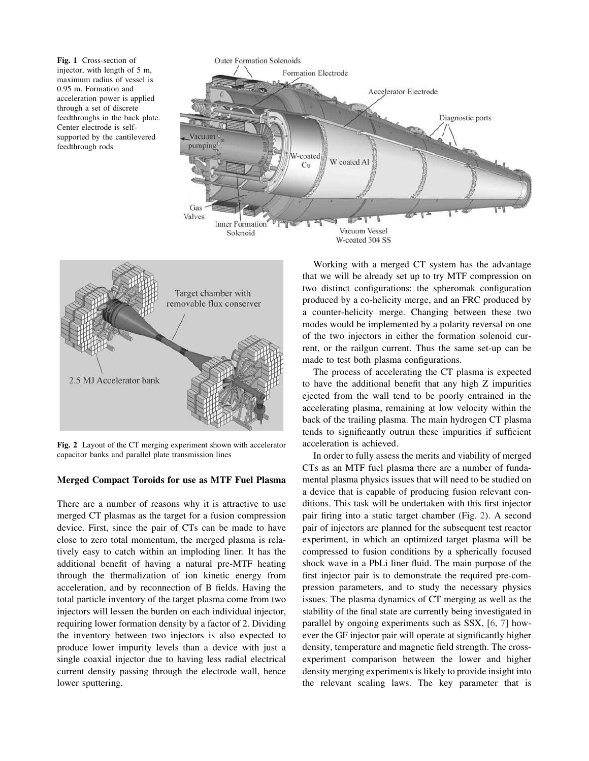Fig. 1 Cross-section of injector, with length of 5 m, maximum radius of vessel is 0.95 m. Formation and acceleration power is applied through a set of discrete feedthroughs in the back plate. Center electrode is selfsupported by the cantilevered feedthrough rods





Fig. 2 Layout of the CT merging experiment shown with accelerator capacitor banks and parallel plate transmission lines

### Merged Compact Toroids for use as MTF Fuel Plasma

There are a number of reasons why it is attractive to use merged CT plasmas as the target for a fusion compression device. First, since the pair of CTs can be made to have close to zero total momentum, the merged plasma is relatively easy to catch within an imploding liner. It has the additional benefit of having a natural pre-MTF heating through the thermalization of ion kinetic energy from acceleration, and by reconnection of B fields. Having the total particle inventory of the target plasma come from two injectors will lessen the burden on each individual injector, requiring lower formation density by a factor of 2. Dividing the inventory between two injectors is also expected to produce lower impurity levels than a device with just a single coaxial injector due to having less radial electrical current density passing through the electrode wall, hence lower sputtering.

Working with a merged CT system has the advantage that we will be already set up to try MTF compression on two distinct configurations: the spheromak configuration produced by a co-helicity merge, and an FRC produced by a counter-helicity merge. Changing between these two modes would be implemented by a polarity reversal on one of the two injectors in either the formation solenoid current, or the railgun current. Thus the same set-up can be made to test both plasma configurations.

The process of accelerating the CT plasma is expected to have the additional benefit that any high Z impurities ejected from the wall tend to be poorly entrained in the accelerating plasma, remaining at low velocity within the back of the trailing plasma. The main hydrogen CT plasma tends to significantly outrun these impurities if sufficient acceleration is achieved.

In order to fully assess the merits and viability of merged CTs as an MTF fuel plasma there are a number of fundamental plasma physics issues that will need to be studied on a device that is capable of producing fusion relevant conditions. This task will be undertaken with this first injector pair firing into a static target chamber (Fig. 2). A second pair of injectors are planned for the subsequent test reactor experiment, in which an optimized target plasma will be compressed to fusion conditions by a spherically focused shock wave in a PbLi liner fluid. The main purpose of the first injector pair is to demonstrate the required pre-compression parameters, and to study the necessary physics issues. The plasma dynamics of CT merging as well as the stability of the final state are currently being investigated in parallel by ongoing experiments such as SSX, [6, 7] however the GF injector pair will operate at significantly higher density, temperature and magnetic field strength. The crossexperiment comparison between the lower and higher density merging experiments is likely to provide insight into the relevant scaling laws. The key parameter that is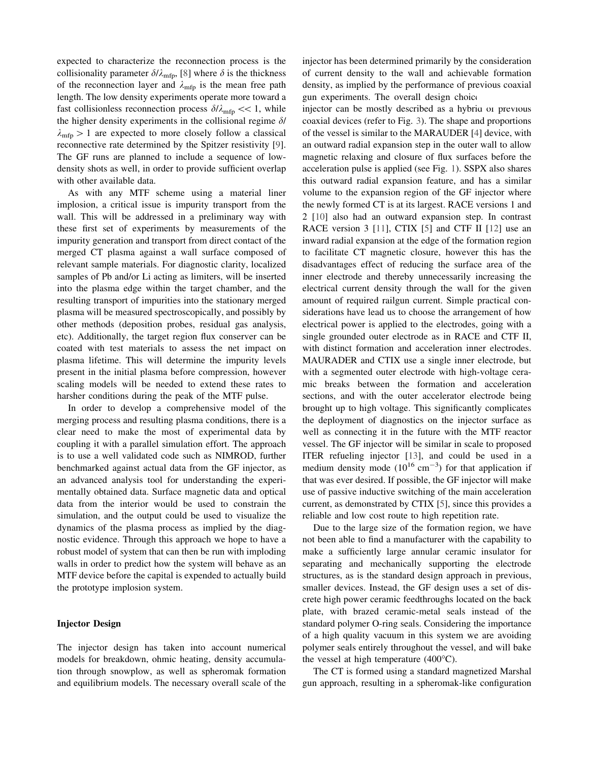expected to characterize the reconnection process is the collisionality parameter  $\delta/\lambda_{\rm mfp}$ , [8] where  $\delta$  is the thickness of the reconnection layer and  $\lambda_{\text{mfp}}$  is the mean free path length. The low density experiments operate more toward a fast collisionless reconnection process  $\delta/\lambda_{\rm mfp} \ll 1$ , while the higher density experiments in the collisional regime  $\delta$ /  $\lambda_{\rm mfp} > 1$  are expected to more closely follow a classical reconnective rate determined by the Spitzer resistivity [9]. The GF runs are planned to include a sequence of lowdensity shots as well, in order to provide sufficient overlap with other available data.

As with any MTF scheme using a material liner implosion, a critical issue is impurity transport from the wall. This will be addressed in a preliminary way with these first set of experiments by measurements of the impurity generation and transport from direct contact of the merged CT plasma against a wall surface composed of relevant sample materials. For diagnostic clarity, localized samples of Pb and/or Li acting as limiters, will be inserted into the plasma edge within the target chamber, and the resulting transport of impurities into the stationary merged plasma will be measured spectroscopically, and possibly by other methods (deposition probes, residual gas analysis, etc). Additionally, the target region flux conserver can be coated with test materials to assess the net impact on plasma lifetime. This will determine the impurity levels present in the initial plasma before compression, however scaling models will be needed to extend these rates to harsher conditions during the peak of the MTF pulse.

In order to develop a comprehensive model of the merging process and resulting plasma conditions, there is a clear need to make the most of experimental data by coupling it with a parallel simulation effort. The approach is to use a well validated code such as NIMROD, further benchmarked against actual data from the GF injector, as an advanced analysis tool for understanding the experimentally obtained data. Surface magnetic data and optical data from the interior would be used to constrain the simulation, and the output could be used to visualize the dynamics of the plasma process as implied by the diagnostic evidence. Through this approach we hope to have a robust model of system that can then be run with imploding walls in order to predict how the system will behave as an MTF device before the capital is expended to actually build the prototype implosion system.

# Injector Design

The injector design has taken into account numerical models for breakdown, ohmic heating, density accumulation through snowplow, as well as spheromak formation and equilibrium models. The necessary overall scale of the injector has been determined primarily by the consideration of current density to the wall and achievable formation density, as implied by the performance of previous coaxial gun experiments. The overall design choice

injector can be mostly described as a hybrid of previous coaxial devices (refer to Fig. 3). The shape and proportions of the vessel is similar to the MARAUDER [4] device, with an outward radial expansion step in the outer wall to allow magnetic relaxing and closure of flux surfaces before the acceleration pulse is applied (see Fig. 1). SSPX also shares this outward radial expansion feature, and has a similar volume to the expansion region of the GF injector where the newly formed CT is at its largest. RACE versions 1 and 2 [10] also had an outward expansion step. In contrast RACE version 3 [11], CTIX [5] and CTF II [12] use an inward radial expansion at the edge of the formation region to facilitate CT magnetic closure, however this has the disadvantages effect of reducing the surface area of the inner electrode and thereby unnecessarily increasing the electrical current density through the wall for the given amount of required railgun current. Simple practical considerations have lead us to choose the arrangement of how electrical power is applied to the electrodes, going with a single grounded outer electrode as in RACE and CTF II, with distinct formation and acceleration inner electrodes. MAURADER and CTIX use a single inner electrode, but with a segmented outer electrode with high-voltage ceramic breaks between the formation and acceleration sections, and with the outer accelerator electrode being brought up to high voltage. This significantly complicates the deployment of diagnostics on the injector surface as well as connecting it in the future with the MTF reactor vessel. The GF injector will be similar in scale to proposed ITER refueling injector [13], and could be used in a medium density mode  $(10^{16} \text{ cm}^{-3})$  for that application if that was ever desired. If possible, the GF injector will make use of passive inductive switching of the main acceleration current, as demonstrated by CTIX [5], since this provides a reliable and low cost route to high repetition rate.

Due to the large size of the formation region, we have not been able to find a manufacturer with the capability to make a sufficiently large annular ceramic insulator for separating and mechanically supporting the electrode structures, as is the standard design approach in previous, smaller devices. Instead, the GF design uses a set of discrete high power ceramic feedthroughs located on the back plate, with brazed ceramic-metal seals instead of the standard polymer O-ring seals. Considering the importance of a high quality vacuum in this system we are avoiding polymer seals entirely throughout the vessel, and will bake the vessel at high temperature (400°C).

The CT is formed using a standard magnetized Marshal gun approach, resulting in a spheromak-like configuration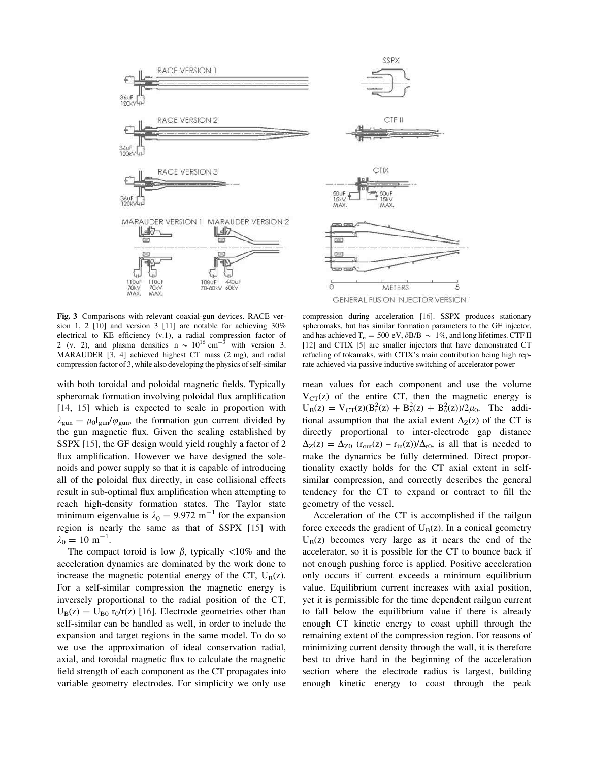



Fig. 3 Comparisons with relevant coaxial-gun devices. RACE version 1, 2 [10] and version 3 [11] are notable for achieving 30% electrical to KE efficiency (v.1), a radial compression factor of 2 (v. 2), and plasma densities n  $\sim 10^{16}$  cm<sup>-3</sup> with version 3. MARAUDER [3, 4] achieved highest CT mass (2 mg), and radial compression factor of 3, while also developing the physics of self-similar

with both toroidal and poloidal magnetic fields. Typically spheromak formation involving poloidal flux amplification [14, 15] which is expected to scale in proportion with  $\lambda_{\text{gun}} = \mu_0 I_{\text{gun}}/\varphi_{\text{gun}}$ , the formation gun current divided by the gun magnetic flux. Given the scaling established by SSPX [15], the GF design would yield roughly a factor of 2 flux amplification. However we have designed the solenoids and power supply so that it is capable of introducing all of the poloidal flux directly, in case collisional effects result in sub-optimal flux amplification when attempting to reach high-density formation states. The Taylor state minimum eigenvalue is  $\lambda_0 = 9.972 \text{ m}^{-1}$  for the expansion region is nearly the same as that of SSPX [15] with  $\lambda_0 = 10 \text{ m}^{-1}$ .

The compact toroid is low  $\beta$ , typically <10% and the acceleration dynamics are dominated by the work done to increase the magnetic potential energy of the CT,  $U_B(z)$ . For a self-similar compression the magnetic energy is inversely proportional to the radial position of the CT,  $U_B(z) = U_{B0} r_0/r(z)$  [16]. Electrode geometries other than self-similar can be handled as well, in order to include the expansion and target regions in the same model. To do so we use the approximation of ideal conservation radial, axial, and toroidal magnetic flux to calculate the magnetic field strength of each component as the CT propagates into variable geometry electrodes. For simplicity we only use

compression during acceleration [16]. SSPX produces stationary spheromaks, but has similar formation parameters to the GF injector, and has achieved  $T_e = 500 \text{ eV}, \delta B/B \sim 1\%$ , and long lifetimes. CTF II [12] and CTIX [5] are smaller injectors that have demonstrated CT refueling of tokamaks, with CTIX's main contribution being high reprate achieved via passive inductive switching of accelerator power

mean values for each component and use the volume  $V_{CT}(z)$  of the entire CT, then the magnetic energy is  $U_B(z) = V_{CT}(z)(B_r^2(z) + B_z^2(z) + B_\theta^2(z))/2\mu_0$ . The additional assumption that the axial extent  $\Delta_Z(z)$  of the CT is directly proportional to inter-electrode gap distance  $\Delta_Z(z) = \Delta_{Z0} (r_{out}(z) - r_{in}(z))/\Delta_{r0}$ , is all that is needed to make the dynamics be fully determined. Direct proportionality exactly holds for the CT axial extent in selfsimilar compression, and correctly describes the general tendency for the CT to expand or contract to fill the geometry of the vessel.

Acceleration of the CT is accomplished if the railgun force exceeds the gradient of  $U_B(z)$ . In a conical geometry  $U_B(z)$  becomes very large as it nears the end of the accelerator, so it is possible for the CT to bounce back if not enough pushing force is applied. Positive acceleration only occurs if current exceeds a minimum equilibrium value. Equilibrium current increases with axial position, yet it is permissible for the time dependent railgun current to fall below the equilibrium value if there is already enough CT kinetic energy to coast uphill through the remaining extent of the compression region. For reasons of minimizing current density through the wall, it is therefore best to drive hard in the beginning of the acceleration section where the electrode radius is largest, building enough kinetic energy to coast through the peak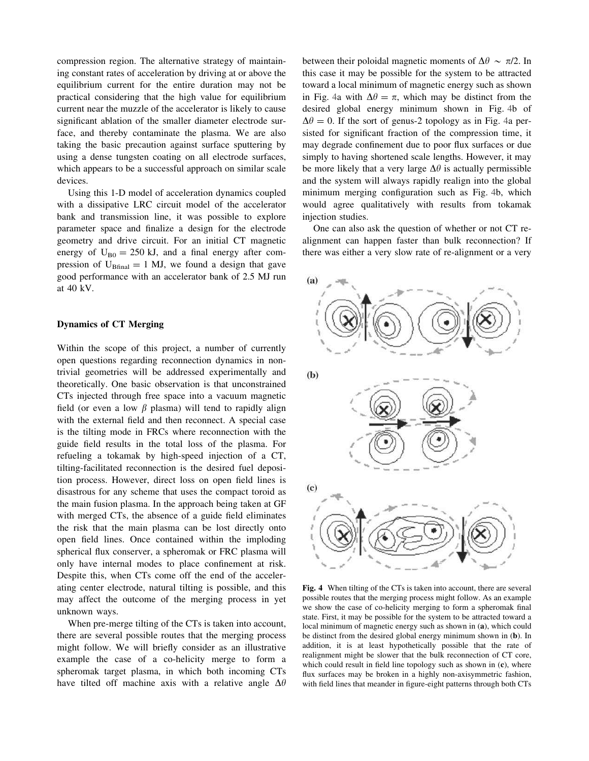compression region. The alternative strategy of maintaining constant rates of acceleration by driving at or above the equilibrium current for the entire duration may not be practical considering that the high value for equilibrium current near the muzzle of the accelerator is likely to cause significant ablation of the smaller diameter electrode surface, and thereby contaminate the plasma. We are also taking the basic precaution against surface sputtering by using a dense tungsten coating on all electrode surfaces, which appears to be a successful approach on similar scale devices.

Using this 1-D model of acceleration dynamics coupled with a dissipative LRC circuit model of the accelerator bank and transmission line, it was possible to explore parameter space and finalize a design for the electrode geometry and drive circuit. For an initial CT magnetic energy of  $U_{B0} = 250$  kJ, and a final energy after compression of  $U_{\text{Bfinal}} = 1$  MJ, we found a design that gave good performance with an accelerator bank of 2.5 MJ run at 40 kV.

## Dynamics of CT Merging

Within the scope of this project, a number of currently open questions regarding reconnection dynamics in nontrivial geometries will be addressed experimentally and theoretically. One basic observation is that unconstrained CTs injected through free space into a vacuum magnetic field (or even a low  $\beta$  plasma) will tend to rapidly align with the external field and then reconnect. A special case is the tilting mode in FRCs where reconnection with the guide field results in the total loss of the plasma. For refueling a tokamak by high-speed injection of a CT, tilting-facilitated reconnection is the desired fuel deposition process. However, direct loss on open field lines is disastrous for any scheme that uses the compact toroid as the main fusion plasma. In the approach being taken at GF with merged CTs, the absence of a guide field eliminates the risk that the main plasma can be lost directly onto open field lines. Once contained within the imploding spherical flux conserver, a spheromak or FRC plasma will only have internal modes to place confinement at risk. Despite this, when CTs come off the end of the accelerating center electrode, natural tilting is possible, and this may affect the outcome of the merging process in yet unknown ways.

When pre-merge tilting of the CTs is taken into account, there are several possible routes that the merging process might follow. We will briefly consider as an illustrative example the case of a co-helicity merge to form a spheromak target plasma, in which both incoming CTs have tilted off machine axis with a relative angle  $\Delta\theta$  between their poloidal magnetic moments of  $\Delta\theta \sim \pi/2$ . In this case it may be possible for the system to be attracted toward a local minimum of magnetic energy such as shown in Fig. 4a with  $\Delta \theta = \pi$ , which may be distinct from the desired global energy minimum shown in Fig. 4b of  $\Delta\theta = 0$ . If the sort of genus-2 topology as in Fig. 4a persisted for significant fraction of the compression time, it may degrade confinement due to poor flux surfaces or due simply to having shortened scale lengths. However, it may be more likely that a very large  $\Delta\theta$  is actually permissible and the system will always rapidly realign into the global minimum merging configuration such as Fig. 4b, which would agree qualitatively with results from tokamak injection studies.

One can also ask the question of whether or not CT realignment can happen faster than bulk reconnection? If there was either a very slow rate of re-alignment or a very



Fig. 4 When tilting of the CTs is taken into account, there are several possible routes that the merging process might follow. As an example we show the case of co-helicity merging to form a spheromak final state. First, it may be possible for the system to be attracted toward a local minimum of magnetic energy such as shown in (a), which could be distinct from the desired global energy minimum shown in (b). In addition, it is at least hypothetically possible that the rate of realignment might be slower that the bulk reconnection of CT core, which could result in field line topology such as shown in  $(c)$ , where flux surfaces may be broken in a highly non-axisymmetric fashion, with field lines that meander in figure-eight patterns through both CTs